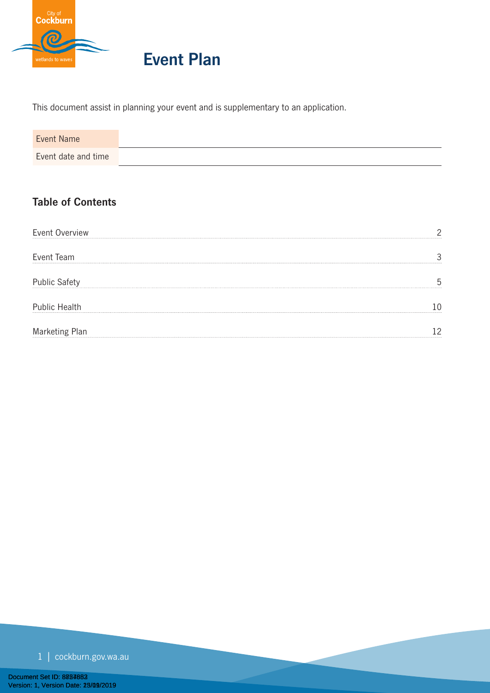

# **Event Plan**

This document assist in planning your event and is supplementary to an application.

| <b>Table of Contents</b> |  |  |
|--------------------------|--|--|
|                          |  |  |

| Event Overview       |  |
|----------------------|--|
| Event Team           |  |
| <b>Public Safety</b> |  |
| <b>Public Health</b> |  |
| Marketing Plan       |  |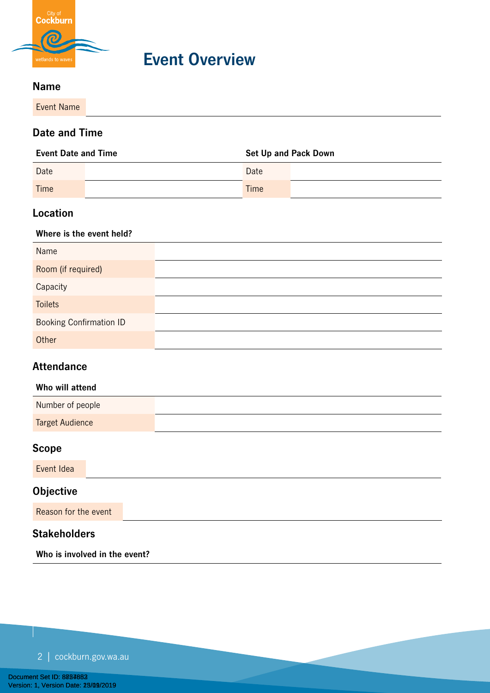

**Event Overview**

### **Name**

Event Name

### **Date and Time**

| <b>Event Date and Time</b> |  | <b>Set Up and Pack Down</b> |  |
|----------------------------|--|-----------------------------|--|
| Date                       |  | Date                        |  |
| Time                       |  | Time                        |  |

# **Location**

#### **Where is the event held?**

| Name                           |  |
|--------------------------------|--|
| Room (if required)             |  |
| Capacity                       |  |
| <b>Toilets</b>                 |  |
| <b>Booking Confirmation ID</b> |  |
| Other                          |  |

# **Attendance**

#### **Who will attend**

| Number of people       |  |
|------------------------|--|
| <b>Target Audience</b> |  |

# **Scope**

Event Idea

# **Objective**

Reason for the event

# **Stakeholders**

**Who is involved in the event?**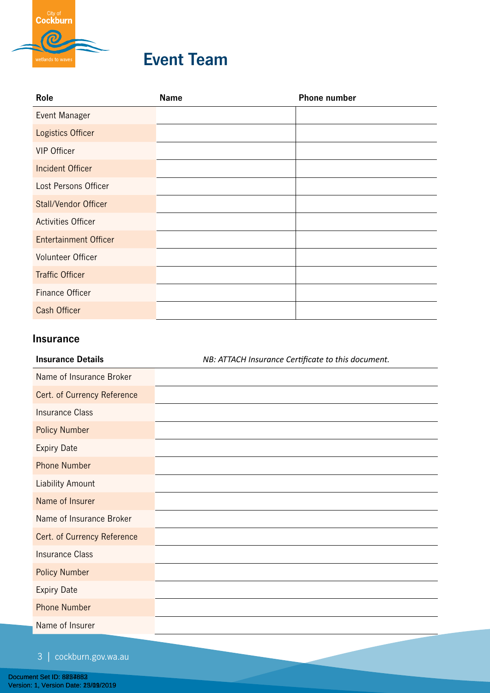

# **Event Team**

| Role                         | <b>Name</b> | <b>Phone number</b> |
|------------------------------|-------------|---------------------|
| Event Manager                |             |                     |
| Logistics Officer            |             |                     |
| <b>VIP Officer</b>           |             |                     |
| <b>Incident Officer</b>      |             |                     |
| Lost Persons Officer         |             |                     |
| <b>Stall/Vendor Officer</b>  |             |                     |
| <b>Activities Officer</b>    |             |                     |
| <b>Entertainment Officer</b> |             |                     |
| Volunteer Officer            |             |                     |
| <b>Traffic Officer</b>       |             |                     |
| Finance Officer              |             |                     |
| <b>Cash Officer</b>          |             |                     |
|                              |             |                     |

## **Insurance**

| <b>Insurance Details</b>    | NB: ATTACH Insurance Certificate to this document. |
|-----------------------------|----------------------------------------------------|
| Name of Insurance Broker    |                                                    |
| Cert. of Currency Reference |                                                    |
| <b>Insurance Class</b>      |                                                    |
| <b>Policy Number</b>        |                                                    |
| <b>Expiry Date</b>          |                                                    |
| <b>Phone Number</b>         |                                                    |
| <b>Liability Amount</b>     |                                                    |
| Name of Insurer             |                                                    |
| Name of Insurance Broker    |                                                    |
| Cert. of Currency Reference |                                                    |
| <b>Insurance Class</b>      |                                                    |
| <b>Policy Number</b>        |                                                    |
| <b>Expiry Date</b>          |                                                    |
| <b>Phone Number</b>         |                                                    |
| Name of Insurer             |                                                    |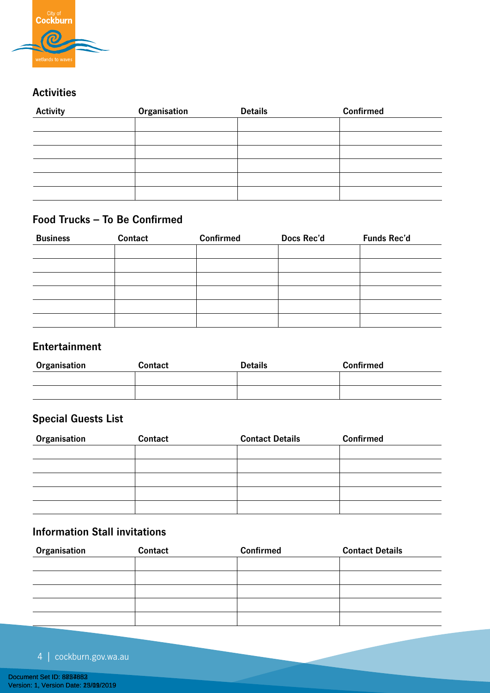

# **Activities**

| <b>Activity</b> | Organisation | <b>Details</b> | <b>Confirmed</b> |
|-----------------|--------------|----------------|------------------|
|                 |              |                |                  |
|                 |              |                |                  |
|                 |              |                |                  |
|                 |              |                |                  |
|                 |              |                |                  |
|                 |              |                |                  |

# **Food Trucks – To Be Confirmed**

| <b>Business</b> | Contact | <b>Confirmed</b> | Docs Rec'd | <b>Funds Rec'd</b> |
|-----------------|---------|------------------|------------|--------------------|
|                 |         |                  |            |                    |
|                 |         |                  |            |                    |
|                 |         |                  |            |                    |
|                 |         |                  |            |                    |
|                 |         |                  |            |                    |
|                 |         |                  |            |                    |

# **Entertainment**

| Organisation | <b>Contact</b> | <b>Details</b> | <b>Confirmed</b> |
|--------------|----------------|----------------|------------------|
|              |                |                |                  |
|              |                |                |                  |

# **Special Guests List**

| Organisation | Contact | <b>Contact Details</b> | <b>Confirmed</b> |
|--------------|---------|------------------------|------------------|
|              |         |                        |                  |
|              |         |                        |                  |
|              |         |                        |                  |
|              |         |                        |                  |
|              |         |                        |                  |

# **Information Stall invitations**

| Organisation | Contact | <b>Confirmed</b> | <b>Contact Details</b> |
|--------------|---------|------------------|------------------------|
|              |         |                  |                        |
|              |         |                  |                        |
|              |         |                  |                        |
|              |         |                  |                        |
|              |         |                  |                        |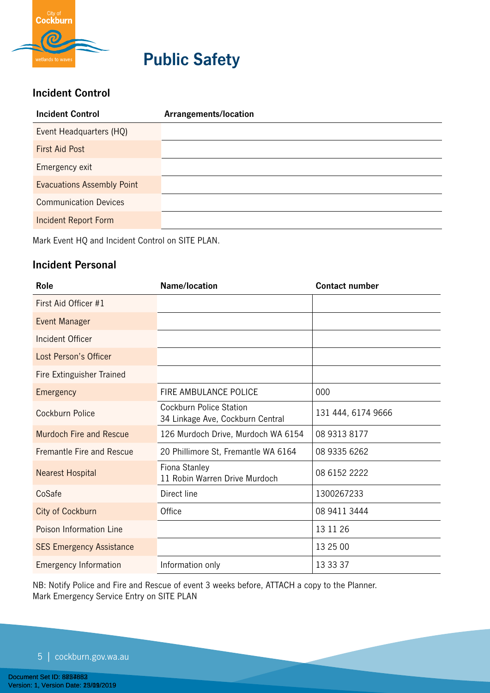

# **Public Safety**

# **Incident Control**

| <b>Incident Control</b>           | Arrangements/location |
|-----------------------------------|-----------------------|
| Event Headquarters (HQ)           |                       |
| <b>First Aid Post</b>             |                       |
| Emergency exit                    |                       |
| <b>Evacuations Assembly Point</b> |                       |
| <b>Communication Devices</b>      |                       |
| <b>Incident Report Form</b>       |                       |
|                                   |                       |

Mark Event HQ and Incident Control on SITE PLAN.

# **Incident Personal**

| Role                             | Name/location                                                      | <b>Contact number</b> |
|----------------------------------|--------------------------------------------------------------------|-----------------------|
| First Aid Officer #1             |                                                                    |                       |
| Event Manager                    |                                                                    |                       |
| <b>Incident Officer</b>          |                                                                    |                       |
| Lost Person's Officer            |                                                                    |                       |
| <b>Fire Extinguisher Trained</b> |                                                                    |                       |
| Emergency                        | <b>FIRE AMBULANCE POLICE</b>                                       | 000                   |
| Cockburn Police                  | <b>Cockburn Police Station</b><br>34 Linkage Ave, Cockburn Central | 131 444, 6174 9666    |
| <b>Murdoch Fire and Rescue</b>   | 126 Murdoch Drive, Murdoch WA 6154                                 | 08 9313 8177          |
| Fremantle Fire and Rescue        | 20 Phillimore St, Fremantle WA 6164                                | 08 9335 6262          |
| <b>Nearest Hospital</b>          | Fiona Stanley<br>11 Robin Warren Drive Murdoch                     | 08 6152 2222          |
| CoSafe                           | Direct line                                                        | 1300267233            |
| <b>City of Cockburn</b>          | Office                                                             | 08 9411 3444          |
| Poison Information Line          |                                                                    | 13 11 26              |
| <b>SES Emergency Assistance</b>  |                                                                    | 13 25 00              |
| <b>Emergency Information</b>     | Information only                                                   | 13 33 37              |

NB: Notify Police and Fire and Rescue of event 3 weeks before, ATTACH a copy to the Planner. Mark Emergency Service Entry on SITE PLAN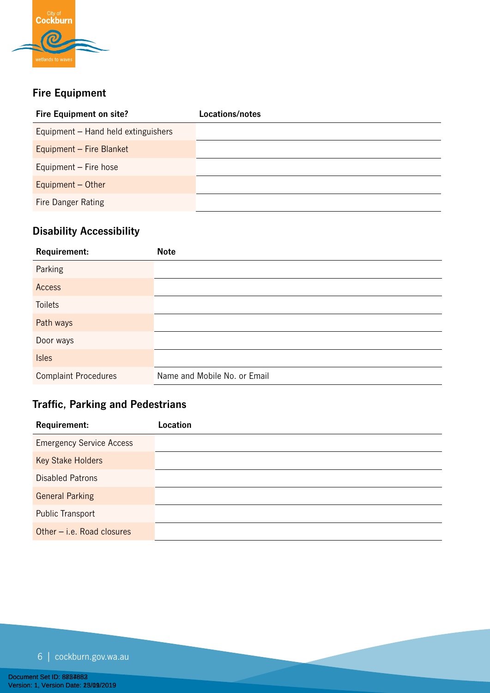

# **Fire Equipment**

| <b>Fire Equipment on site?</b>      | Locations/notes |
|-------------------------------------|-----------------|
| Equipment – Hand held extinguishers |                 |
| Equipment - Fire Blanket            |                 |
| Equipment - Fire hose               |                 |
| Equipment $-$ Other                 |                 |
| <b>Fire Danger Rating</b>           |                 |

# **Disability Accessibility**

| Requirement:                | <b>Note</b>                  |
|-----------------------------|------------------------------|
| Parking                     |                              |
| Access                      |                              |
| <b>Toilets</b>              |                              |
| Path ways                   |                              |
| Door ways                   |                              |
| <b>Isles</b>                |                              |
| <b>Complaint Procedures</b> | Name and Mobile No. or Email |

# **Traffic, Parking and Pedestrians**

| Requirement:                    | Location |
|---------------------------------|----------|
| <b>Emergency Service Access</b> |          |
| <b>Key Stake Holders</b>        |          |
| <b>Disabled Patrons</b>         |          |
| <b>General Parking</b>          |          |
| <b>Public Transport</b>         |          |
| Other $-$ i.e. Road closures    |          |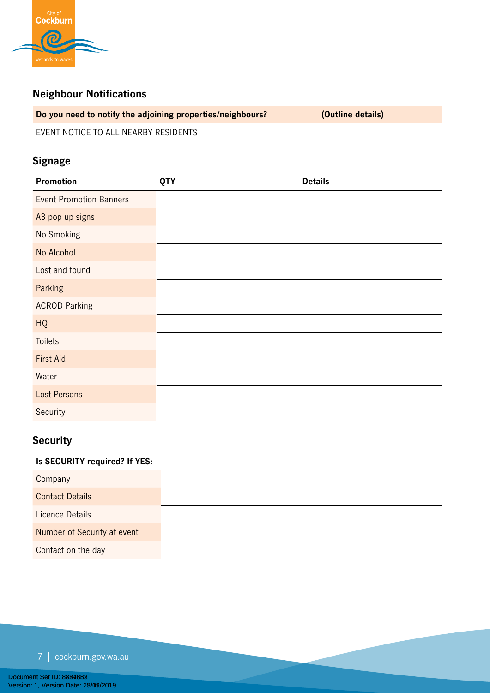

# **Neighbour Notifications**

**Do you need to notify the adjoining properties/neighbours? (Outline details)**

EVENT NOTICE TO ALL NEARBY RESIDENTS

# **Signage**

# **Security**

## **Is SECURITY required? If YES:**

| Company                     |  |
|-----------------------------|--|
| <b>Contact Details</b>      |  |
| Licence Details             |  |
| Number of Security at event |  |
| Contact on the day          |  |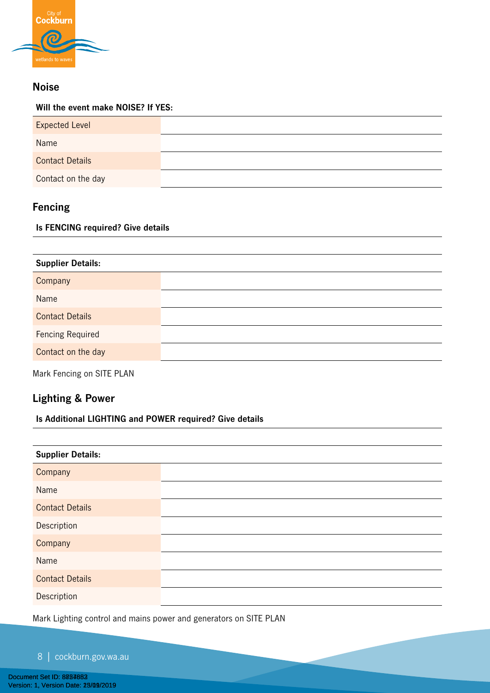

# **Noise**

#### **Will the event make NOISE? If YES:**

| <b>Expected Level</b>  |  |
|------------------------|--|
| Name                   |  |
| <b>Contact Details</b> |  |
| Contact on the day     |  |

# **Fencing**

#### **Is FENCING required? Give details**

| <b>Supplier Details:</b> |  |
|--------------------------|--|
| Company                  |  |
| Name                     |  |
| <b>Contact Details</b>   |  |
| <b>Fencing Required</b>  |  |
| Contact on the day       |  |

Mark Fencing on SITE PLAN

# **Lighting & Power**

#### **Is Additional LIGHTING and POWER required? Give details**

| <b>Supplier Details:</b> |
|--------------------------|
| Company                  |
| Name                     |
| <b>Contact Details</b>   |
| Description              |
| Company                  |
| Name                     |
| <b>Contact Details</b>   |
| Description              |

Mark Lighting control and mains power and generators on SITE PLAN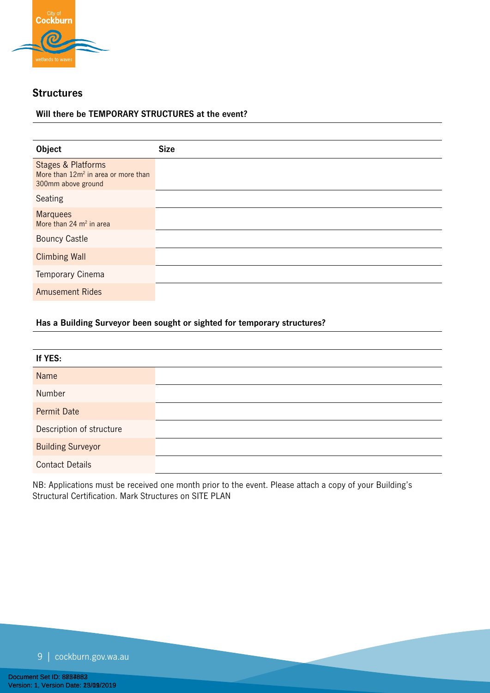

### **Structures**

#### **Will there be TEMPORARY STRUCTURES at the event?**

| Object                                                                                                 | <b>Size</b> |
|--------------------------------------------------------------------------------------------------------|-------------|
| <b>Stages &amp; Platforms</b><br>More than 12m <sup>2</sup> in area or more than<br>300mm above ground |             |
| Seating                                                                                                |             |
| <b>Marquees</b><br>More than $24 \text{ m}^2$ in area                                                  |             |
| <b>Bouncy Castle</b>                                                                                   |             |
| <b>Climbing Wall</b>                                                                                   |             |
| Temporary Cinema                                                                                       |             |
| <b>Amusement Rides</b>                                                                                 |             |

#### **Has a Building Surveyor been sought or sighted for temporary structures?**

| If YES:                  |
|--------------------------|
| Name                     |
| Number                   |
| <b>Permit Date</b>       |
| Description of structure |
| <b>Building Surveyor</b> |
| <b>Contact Details</b>   |

NB: Applications must be received one month prior to the event. Please attach a copy of your Building's Structural Certification. Mark Structures on SITE PLAN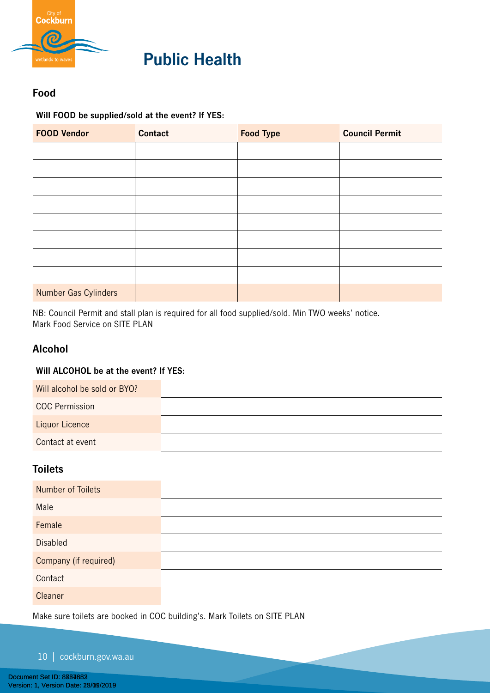

# **Public Health**

# **Food**

**Will FOOD be supplied/sold at the event? If YES:**

| <b>FOOD Vendor</b>   | <b>Contact</b> | <b>Food Type</b> | <b>Council Permit</b> |
|----------------------|----------------|------------------|-----------------------|
|                      |                |                  |                       |
|                      |                |                  |                       |
|                      |                |                  |                       |
|                      |                |                  |                       |
|                      |                |                  |                       |
|                      |                |                  |                       |
|                      |                |                  |                       |
|                      |                |                  |                       |
| Number Gas Cylinders |                |                  |                       |

NB: Council Permit and stall plan is required for all food supplied/sold. Min TWO weeks' notice. Mark Food Service on SITE PLAN

# **Alcohol**

#### **Will ALCOHOL be at the event? If YES:**

| Will alcohol be sold or BYO? |  |
|------------------------------|--|
| <b>COC Permission</b>        |  |
| Liquor Licence               |  |
| Contact at event             |  |

# **Toilets**

| <b>Number of Toilets</b> |  |
|--------------------------|--|
| Male                     |  |
| Female                   |  |
| <b>Disabled</b>          |  |
| Company (if required)    |  |
| Contact                  |  |
| Cleaner                  |  |

Make sure toilets are booked in COC building's. Mark Toilets on SITE PLAN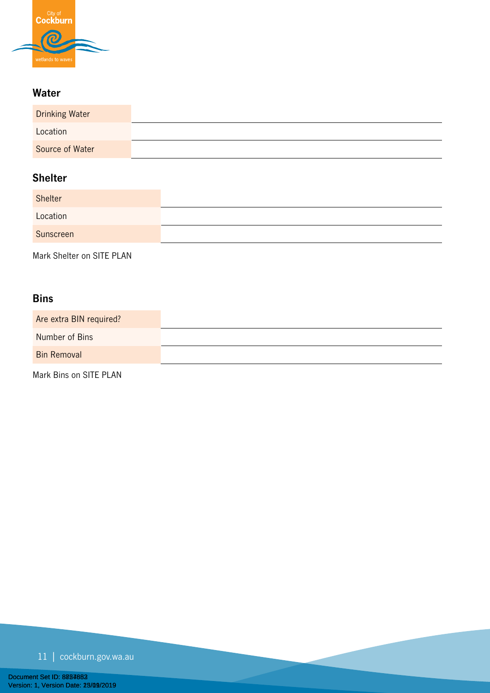

# **Water**

| <b>Drinking Water</b> |  |
|-----------------------|--|
| Location              |  |
| Source of Water       |  |

# **Shelter**

| Shelter   |  |
|-----------|--|
| Location  |  |
| Sunscreen |  |
|           |  |

Mark Shelter on SITE PLAN

# **Bins**

| Are extra BIN required? |  |
|-------------------------|--|
| Number of Bins          |  |
| <b>Bin Removal</b>      |  |

Mark Bins on SITE PLAN